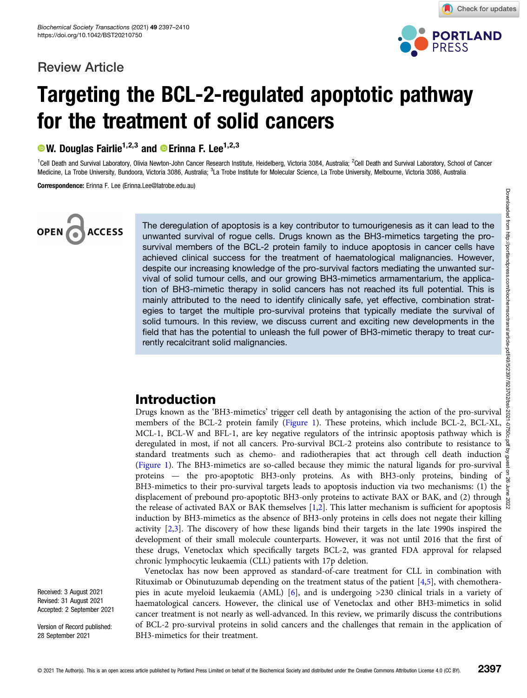## Review Article



Check for updates

## Targeting the BCL-2-regulated apoptotic pathway for the treatment of solid cancers

 $\bullet$  W. Douglas Fairlie<sup>1,2,3</sup> and  $\bullet$  Erinna F. Lee<sup>1,2,3</sup>

<sup>1</sup>Cell Death and Survival Laboratory, Olivia Newton-John Cancer Research Institute, Heidelberg, Victoria 3084, Australia; <sup>2</sup>Cell Death and Survival Laboratory, School of Cancer Medicine, La Trobe University, Bundoora, Victoria 3086, Australia; <sup>3</sup>La Trobe Institute for Molecular Science, La Trobe University, Melbourne, Victoria 3086, Australia La Trobe Institute for Molecular Science, La Trobe University, Melbourne, Victoria 3086, Australia

Correspondence: Erinna F. Lee (Erinna.Lee@latrobe.edu.au)

# **ACCESS**

The deregulation of apoptosis is a key contributor to tumourigenesis as it can lead to the unwanted survival of rogue cells. Drugs known as the BH3-mimetics targeting the prosurvival members of the BCL-2 protein family to induce apoptosis in cancer cells have achieved clinical success for the treatment of haematological malignancies. However, despite our increasing knowledge of the pro-survival factors mediating the unwanted survival of solid tumour cells, and our growing BH3-mimetics armamentarium, the application of BH3-mimetic therapy in solid cancers has not reached its full potential. This is mainly attributed to the need to identify clinically safe, yet effective, combination strategies to target the multiple pro-survival proteins that typically mediate the survival of solid tumours. In this review, we discuss current and exciting new developments in the field that has the potential to unleash the full power of BH3-mimetic therapy to treat currently recalcitrant solid malignancies.

## Introduction

Drugs known as the 'BH3-mimetics' trigger cell death by antagonising the action of the pro-survival members of the BCL-2 protein family ([Figure 1](#page-1-0)). These proteins, which include BCL-2, BCL-XL, members of the BCL-2 protein family (Figure 1). These proteins, which include BCL-2, BCL-XL,  $\frac{3}{5}$  MCL-1, BCL-W and BFL-1, are key negative regulators of the intrinsic apoptosis pathway which is  $\frac{8}{5}$ deregulated in most, if not all cancers. Pro-survival BCL-2 proteins also contribute to resistance to  $\frac{8}{3}$ standard treatments such as chemo- and radiotherapies that act through cell death induction ([Figure 1](#page-1-0)). The BH3-mimetics are so-called because they mimic the natural ligands for pro-survival  $\frac{6}{9}$ proteins — the pro-apoptotic BH3-only proteins. As with BH3-only proteins, binding of  $\frac{9}{8}$ BH3-mimetics to their pro-survival targets leads to apoptosis induction via two mechanisms: (1) the  $\frac{1}{5}$ displacement of prebound pro-apoptotic BH3-only proteins to activate BAX or BAK, and (2) through  $\frac{8}{6}$ the release of activated BAX or BAK themselves [[1](#page-8-0),[2](#page-8-0)]. This latter mechanism is sufficient for apoptosis  $\overline{N}$ induction by BH3-mimetics as the absence of BH3-only proteins in cells does not negate their killing activity [[2,3\]](#page-8-0). The discovery of how these ligands bind their targets in the late 1990s inspired the development of their small molecule counterparts. However, it was not until 2016 that the first of these drugs, Venetoclax which specifically targets BCL-2, was granted FDA approval for relapsed chronic lymphocytic leukaemia (CLL) patients with 17p deletion.

Venetoclax has now been approved as standard-of-care treatment for CLL in combination with Rituximab or Obinutuzumab depending on the treatment status of the patient [\[4,5\]](#page-8-0), with chemotherapies in acute myeloid leukaemia (AML) [[6\]](#page-8-0), and is undergoing >230 clinical trials in a variety of haematological cancers. However, the clinical use of Venetoclax and other BH3-mimetics in solid cancer treatment is not nearly as well-advanced. In this review, we primarily discuss the contributions of BCL-2 pro-survival proteins in solid cancers and the challenges that remain in the application of BH3-mimetics for their treatment.

Received: 3 August 2021 Revised: 31 August 2021 Accepted: 2 September 2021

Version of Record published: 28 September 2021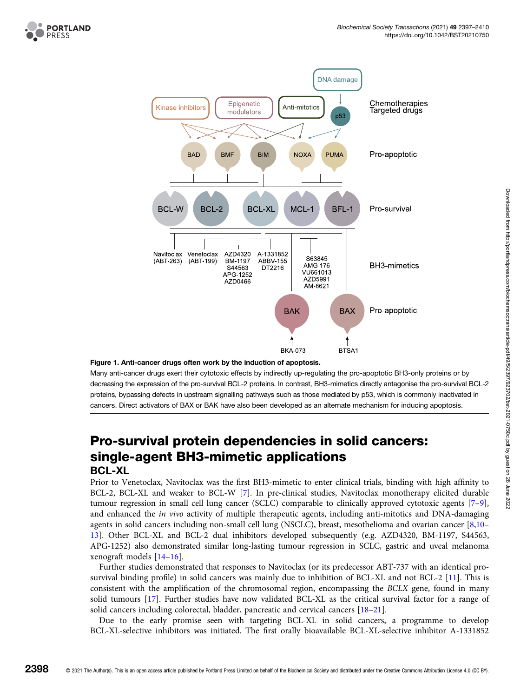<span id="page-1-0"></span>

#### Figure 1. Anti-cancer drugs often work by the induction of apoptosis.

Many anti-cancer drugs exert their cytotoxic effects by indirectly up-regulating the pro-apoptotic BH3-only proteins or by decreasing the expression of the pro-survival BCL-2 proteins. In contrast, BH3-mimetics directly antagonise the pro-survival BCL-2 proteins, bypassing defects in upstream signalling pathways such as those mediated by p53, which is commonly inactivated in cancers. Direct activators of BAX or BAK have also been developed as an alternate mechanism for inducing apoptosis.

## Pro-survival protein dependencies in solid cancers: single-agent BH3-mimetic applications BCL-XL

Prior to Venetoclax, Navitoclax was the first BH3-mimetic to enter clinical trials, binding with high affinity to BCL-2, BCL-XL and weaker to BCL-W [[7](#page-8-0)]. In pre-clinical studies, Navitoclax monotherapy elicited durable tumour regression in small cell lung cancer (SCLC) comparable to clinically approved cytotoxic agents [\[7](#page-8-0)–[9](#page-8-0)], and enhanced the in vivo activity of multiple therapeutic agents, including anti-mitotics and DNA-damaging agents in solid cancers including non-small cell lung (NSCLC), breast, mesothelioma and ovarian cancer [\[8,10](#page-8-0)– [13\]](#page-8-0). Other BCL-XL and BCL-2 dual inhibitors developed subsequently (e.g. AZD4320, BM-1197, S44563, APG-1252) also demonstrated similar long-lasting tumour regression in SCLC, gastric and uveal melanoma xenograft models [[14](#page-8-0)–[16\]](#page-8-0).

Further studies demonstrated that responses to Navitoclax (or its predecessor ABT-737 with an identical prosurvival binding profile) in solid cancers was mainly due to inhibition of BCL-XL and not BCL-2 [[11](#page-8-0)]. This is consistent with the amplification of the chromosomal region, encompassing the BCLX gene, found in many solid tumours [[17](#page-8-0)]. Further studies have now validated BCL-XL as the critical survival factor for a range of solid cancers including colorectal, bladder, pancreatic and cervical cancers [\[18](#page-8-0)–[21\]](#page-9-0).

Due to the early promise seen with targeting BCL-XL in solid cancers, a programme to develop BCL-XL-selective inhibitors was initiated. The first orally bioavailable BCL-XL-selective inhibitor A-1331852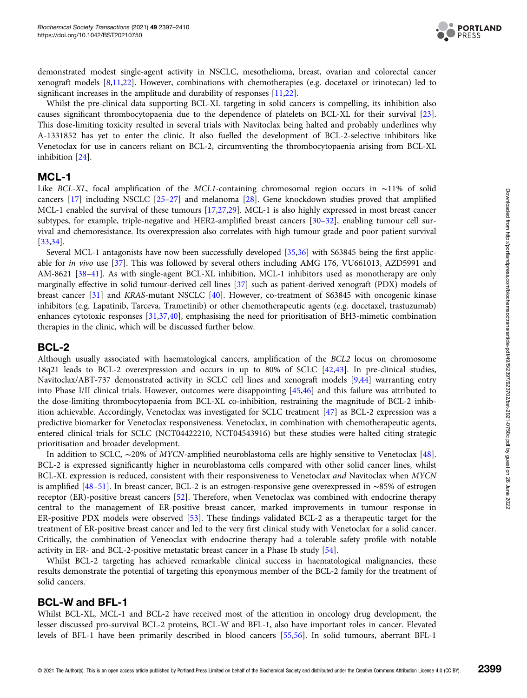

demonstrated modest single-agent activity in NSCLC, mesothelioma, breast, ovarian and colorectal cancer xenograft models [\[8,11,](#page-8-0)[22\]](#page-9-0). However, combinations with chemotherapies (e.g. docetaxel or irinotecan) led to significant increases in the amplitude and durability of responses [\[11](#page-8-0)[,22\]](#page-9-0).

Whilst the pre-clinical data supporting BCL-XL targeting in solid cancers is compelling, its inhibition also causes significant thrombocytopaenia due to the dependence of platelets on BCL-XL for their survival [[23\]](#page-9-0). This dose-limiting toxicity resulted in several trials with Navitoclax being halted and probably underlines why A-1331852 has yet to enter the clinic. It also fuelled the development of BCL-2-selective inhibitors like Venetoclax for use in cancers reliant on BCL-2, circumventing the thrombocytopaenia arising from BCL-XL inhibition [[24](#page-9-0)].

#### MCL-1

Like BCL-XL, focal amplification of the MCL1-containing chromosomal region occurs in ∼11% of solid cancers [[17](#page-8-0)] including NSCLC [\[25](#page-9-0)–[27](#page-9-0)] and melanoma [[28](#page-9-0)]. Gene knockdown studies proved that amplified MCL-1 enabled the survival of these tumours [\[17](#page-8-0)[,27,29\]](#page-9-0). MCL-1 is also highly expressed in most breast cancer subtypes, for example, triple-negative and HER2-amplified breast cancers [\[30](#page-9-0)–[32](#page-9-0)], enabling tumour cell survival and chemoresistance. Its overexpression also correlates with high tumour grade and poor patient survival [[33,34](#page-9-0)].

Several MCL-1 antagonists have now been successfully developed [[35,36\]](#page-9-0) with S63845 being the first applicable for in vivo use [\[37\]](#page-9-0). This was followed by several others including AMG 176, VU661013, AZD5991 and AM-8621 [\[38](#page-9-0)–[41\]](#page-9-0). As with single-agent BCL-XL inhibition, MCL-1 inhibitors used as monotherapy are only marginally effective in solid tumour-derived cell lines [[37](#page-9-0)] such as patient-derived xenograft (PDX) models of breast cancer [[31](#page-9-0)] and KRAS-mutant NSCLC [\[40\]](#page-9-0). However, co-treatment of S63845 with oncogenic kinase inhibitors (e.g. Lapatinib, Tarceva, Trametinib) or other chemotherapeutic agents (e.g. docetaxel, trastuzumab) enhances cytotoxic responses [[31,37](#page-9-0),[40](#page-9-0)], emphasising the need for prioritisation of BH3-mimetic combination therapies in the clinic, which will be discussed further below.

#### BCL-2

Although usually associated with haematological cancers, amplification of the BCL2 locus on chromosome 18q21 leads to BCL-2 overexpression and occurs in up to 80% of SCLC [\[42,43\]](#page-9-0). In pre-clinical studies, Navitoclax/ABT-737 demonstrated activity in SCLC cell lines and xenograft models [\[9,](#page-8-0)[44\]](#page-9-0) warranting entry into Phase I/II clinical trials. However, outcomes were disappointing [\[45,46\]](#page-9-0) and this failure was attributed to the dose-limiting thrombocytopaenia from BCL-XL co-inhibition, restraining the magnitude of BCL-2 inhibition achievable. Accordingly, Venetoclax was investigated for SCLC treatment [[47](#page-9-0)] as BCL-2 expression was a predictive biomarker for Venetoclax responsiveness. Venetoclax, in combination with chemotherapeutic agents, entered clinical trials for SCLC (NCT04422210, NCT04543916) but these studies were halted citing strategic prioritisation and broader development.

In addition to SCLC, ∼20% of MYCN-amplified neuroblastoma cells are highly sensitive to Venetoclax [\[48\]](#page-9-0). BCL-2 is expressed significantly higher in neuroblastoma cells compared with other solid cancer lines, whilst BCL-XL expression is reduced, consistent with their responsiveness to Venetoclax and Navitoclax when MYCN is amplified [[48](#page-9-0)–[51](#page-10-0)]. In breast cancer, BCL-2 is an estrogen-responsive gene overexpressed in ∼85% of estrogen receptor (ER)-positive breast cancers [[52](#page-10-0)]. Therefore, when Venetoclax was combined with endocrine therapy central to the management of ER-positive breast cancer, marked improvements in tumour response in ER-positive PDX models were observed [[53](#page-10-0)]. These findings validated BCL-2 as a therapeutic target for the treatment of ER-positive breast cancer and led to the very first clinical study with Venetoclax for a solid cancer. Critically, the combination of Veneoclax with endocrine therapy had a tolerable safety profile with notable activity in ER- and BCL-2-positive metastatic breast cancer in a Phase Ib study [\[54\]](#page-10-0).

Whilst BCL-2 targeting has achieved remarkable clinical success in haematological malignancies, these results demonstrate the potential of targeting this eponymous member of the BCL-2 family for the treatment of solid cancers.

#### BCL-W and BFL-1

Whilst BCL-XL, MCL-1 and BCL-2 have received most of the attention in oncology drug development, the lesser discussed pro-survival BCL-2 proteins, BCL-W and BFL-1, also have important roles in cancer. Elevated levels of BFL-1 have been primarily described in blood cancers [\[55,56\]](#page-10-0). In solid tumours, aberrant BFL-1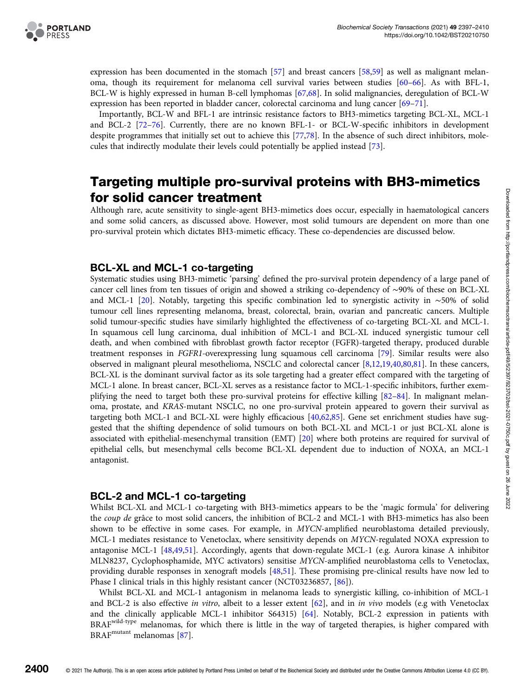

expression has been documented in the stomach [\[57\]](#page-10-0) and breast cancers [[58](#page-10-0),[59](#page-10-0)] as well as malignant melanoma, though its requirement for melanoma cell survival varies between studies [[60](#page-10-0)–[66\]](#page-10-0). As with BFL-1, BCL-W is highly expressed in human B-cell lymphomas [[67,68\]](#page-10-0). In solid malignancies, deregulation of BCL-W expression has been reported in bladder cancer, colorectal carcinoma and lung cancer [\[69](#page-10-0)–[71](#page-10-0)].

Importantly, BCL-W and BFL-1 are intrinsic resistance factors to BH3-mimetics targeting BCL-XL, MCL-1 and BCL-2 [[72](#page-10-0)–[76](#page-10-0)]. Currently, there are no known BFL-1- or BCL-W-specific inhibitors in development despite programmes that initially set out to achieve this [\[77,78](#page-10-0)]. In the absence of such direct inhibitors, molecules that indirectly modulate their levels could potentially be applied instead [\[73\]](#page-10-0).

## Targeting multiple pro-survival proteins with BH3-mimetics for solid cancer treatment

Although rare, acute sensitivity to single-agent BH3-mimetics does occur, especially in haematological cancers and some solid cancers, as discussed above. However, most solid tumours are dependent on more than one pro-survival protein which dictates BH3-mimetic efficacy. These co-dependencies are discussed below.

#### BCL-XL and MCL-1 co-targeting

Systematic studies using BH3-mimetic 'parsing' defined the pro-survival protein dependency of a large panel of cancer cell lines from ten tissues of origin and showed a striking co-dependency of ∼90% of these on BCL-XL and MCL-1 [[20](#page-9-0)]. Notably, targeting this specific combination led to synergistic activity in ∼50% of solid tumour cell lines representing melanoma, breast, colorectal, brain, ovarian and pancreatic cancers. Multiple solid tumour-specific studies have similarly highlighted the effectiveness of co-targeting BCL-XL and MCL-1. In squamous cell lung carcinoma, dual inhibition of MCL-1 and BCL-XL induced synergistic tumour cell death, and when combined with fibroblast growth factor receptor (FGFR)-targeted therapy, produced durable treatment responses in FGFR1-overexpressing lung squamous cell carcinoma [[79](#page-11-0)]. Similar results were also observed in malignant pleural mesothelioma, NSCLC and colorectal cancer [\[8,12,19](#page-8-0),[40](#page-9-0)[,80,81\]](#page-11-0). In these cancers, BCL-XL is the dominant survival factor as its sole targeting had a greater effect compared with the targeting of MCL-1 alone. In breast cancer, BCL-XL serves as a resistance factor to MCL-1-specific inhibitors, further exemplifying the need to target both these pro-survival proteins for effective killing [[82](#page-11-0)–[84](#page-11-0)]. In malignant melanoma, prostate, and KRAS-mutant NSCLC, no one pro-survival protein appeared to govern their survival as targeting both MCL-1 and BCL-XL were highly efficacious [\[40,](#page-9-0)[62,](#page-10-0)[85](#page-11-0)]. Gene set enrichment studies have suggested that the shifting dependence of solid tumours on both BCL-XL and MCL-1 or just BCL-XL alone is associated with epithelial-mesenchymal transition (EMT) [\[20\]](#page-9-0) where both proteins are required for survival of epithelial cells, but mesenchymal cells become BCL-XL dependent due to induction of NOXA, an MCL-1 antagonist.

#### BCL-2 and MCL-1 co-targeting

Whilst BCL-XL and MCL-1 co-targeting with BH3-mimetics appears to be the 'magic formula' for delivering the *coup de* grâce to most solid cancers, the inhibition of BCL-2 and MCL-1 with BH3-mimetics has also been shown to be effective in some cases. For example, in MYCN-amplified neuroblastoma detailed previously, MCL-1 mediates resistance to Venetoclax, where sensitivity depends on MYCN-regulated NOXA expression to antagonise MCL-1 [\[48,](#page-9-0)[49](#page-10-0),[51](#page-10-0)]. Accordingly, agents that down-regulate MCL-1 (e.g. Aurora kinase A inhibitor MLN8237, Cyclophosphamide, MYC activators) sensitise MYCN-amplified neuroblastoma cells to Venetoclax, providing durable responses in xenograft models [[48](#page-9-0),[51](#page-10-0)]. These promising pre-clinical results have now led to Phase I clinical trials in this highly resistant cancer (NCT03236857, [[86\]](#page-11-0)).

Whilst BCL-XL and MCL-1 antagonism in melanoma leads to synergistic killing, co-inhibition of MCL-1 and BCL-2 is also effective in vitro, albeit to a lesser extent [\[62\]](#page-10-0), and in in vivo models (e.g with Venetoclax and the clinically applicable MCL-1 inhibitor S64315) [[64](#page-10-0)]. Notably, BCL-2 expression in patients with BRAF<sup>wild-type</sup> melanomas, for which there is little in the way of targeted therapies, is higher compared with BRAFmutant melanomas [\[87\]](#page-11-0).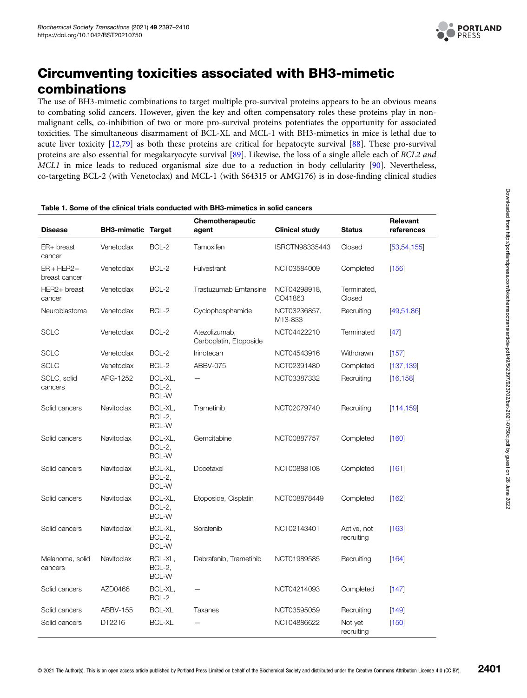

## <span id="page-4-0"></span>Circumventing toxicities associated with BH3-mimetic combinations

The use of BH3-mimetic combinations to target multiple pro-survival proteins appears to be an obvious means to combating solid cancers. However, given the key and often compensatory roles these proteins play in nonmalignant cells, co-inhibition of two or more pro-survival proteins potentiates the opportunity for associated toxicities. The simultaneous disarmament of BCL-XL and MCL-1 with BH3-mimetics in mice is lethal due to acute liver toxicity [[12](#page-8-0),[79](#page-11-0)] as both these proteins are critical for hepatocyte survival [\[88\]](#page-11-0). These pro-survival proteins are also essential for megakaryocyte survival [\[89\]](#page-11-0). Likewise, the loss of a single allele each of BCL2 and MCL1 in mice leads to reduced organismal size due to a reduction in body cellularity [[90](#page-11-0)]. Nevertheless, co-targeting BCL-2 (with Venetoclax) and MCL-1 (with S64315 or AMG176) is in dose-finding clinical studies

|                                |                           |                                   | Chemotherapeutic                        |                         |                           | Relevant      |
|--------------------------------|---------------------------|-----------------------------------|-----------------------------------------|-------------------------|---------------------------|---------------|
| <b>Disease</b>                 | <b>BH3-mimetic Target</b> |                                   | agent                                   | <b>Clinical study</b>   | <b>Status</b>             | references    |
| ER+ breast<br>cancer           | Venetoclax                | $BCL-2$                           | Tamoxifen                               | ISRCTN98335443          | Closed                    | [53, 54, 155] |
| $ER + HER2 -$<br>breast cancer | Venetoclax                | BCL-2                             | Fulvestrant                             | NCT03584009             | Completed                 | [156]         |
| HER2+ breast<br>cancer         | Venetoclax                | BCL-2                             | Trastuzumab Emtansine                   | NCT04298918,<br>CO41863 | Terminated,<br>Closed     |               |
| Neuroblastoma                  | Venetoclax                | BCL-2                             | Cyclophosphamide                        | NCT03236857,<br>M13-833 | Recruiting                | [49, 51, 86]  |
| <b>SCLC</b>                    | Venetoclax                | BCL-2                             | Atezolizumab,<br>Carboplatin, Etoposide | NCT04422210             | Terminated                | $[47]$        |
| SCLC                           | Venetoclax                | BCL-2                             | Irinotecan                              | NCT04543916             | Withdrawn                 | [157]         |
| <b>SCLC</b>                    | Venetoclax                | BCL-2                             | ABBV-075                                | NCT02391480             | Completed                 | [137, 139]    |
| SCLC, solid<br>cancers         | APG-1252                  | BCL-XL,<br>BCL-2,<br><b>BCL-W</b> |                                         | NCT03387332             | Recruiting                | [16, 158]     |
| Solid cancers                  | Navitoclax                | BCL-XL,<br>BCL-2,<br><b>BCL-W</b> | Trametinib                              | NCT02079740             | Recruiting                | [114, 159]    |
| Solid cancers                  | Navitoclax                | BCL-XL,<br>BCL-2,<br>BCL-W        | Gemcitabine                             | NCT00887757             | Completed                 | [160]         |
| Solid cancers                  | Navitoclax                | BCL-XL,<br>BCL-2,<br><b>BCL-W</b> | Docetaxel                               | NCT00888108             | Completed                 | [161]         |
| Solid cancers                  | Navitoclax                | BCL-XL,<br>BCL-2,<br><b>BCL-W</b> | Etoposide, Cisplatin                    | NCT008878449            | Completed                 | [162]         |
| Solid cancers                  | Navitoclax                | BCL-XL,<br>BCL-2,<br><b>BCL-W</b> | Sorafenib                               | NCT02143401             | Active, not<br>recruiting | [163]         |
| Melanoma, solid<br>cancers     | Navitoclax                | BCL-XL,<br>BCL-2,<br><b>BCL-W</b> | Dabrafenib, Trametinib                  | NCT01989585             | Recruiting                | [164]         |
| Solid cancers                  | AZD0466                   | BCL-XL,<br>BCL-2                  |                                         | NCT04214093             | Completed                 | [147]         |
| Solid cancers                  | ABBV-155                  | <b>BCL-XL</b>                     | Taxanes                                 | NCT03595059             | Recruiting                | [149]         |
| Solid cancers                  | DT2216                    | <b>BCL-XL</b>                     |                                         | NCT04886622             | Not yet<br>recruiting     | [150]         |

#### Table 1. Some of the clinical trials conducted with BH3-mimetics in solid cancers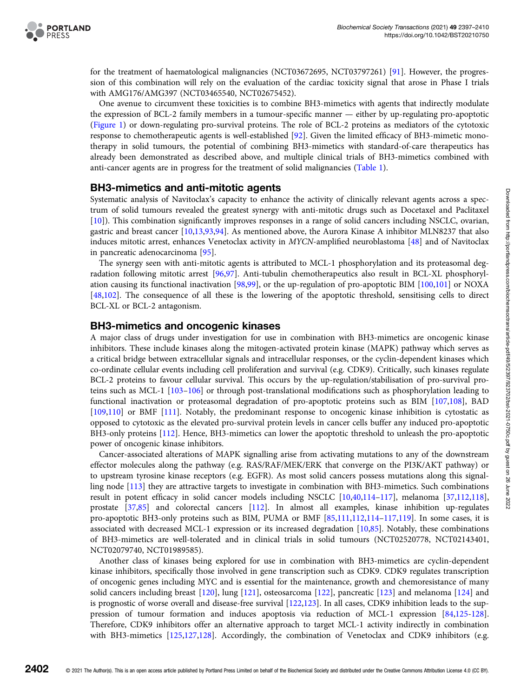

for the treatment of haematological malignancies (NCT03672695, NCT03797261) [\[91](#page-11-0)]. However, the progression of this combination will rely on the evaluation of the cardiac toxicity signal that arose in Phase I trials with AMG176/AMG397 (NCT03465540, NCT02675452).

One avenue to circumvent these toxicities is to combine BH3-mimetics with agents that indirectly modulate the expression of BCL-2 family members in a tumour-specific manner — either by up-regulating pro-apoptotic ([Figure 1](#page-1-0)) or down-regulating pro-survival proteins. The role of BCL-2 proteins as mediators of the cytotoxic response to chemotherapeutic agents is well-established [[92](#page-11-0)]. Given the limited efficacy of BH3-mimetic monotherapy in solid tumours, the potential of combining BH3-mimetics with standard-of-care therapeutics has already been demonstrated as described above, and multiple clinical trials of BH3-mimetics combined with anti-cancer agents are in progress for the treatment of solid malignancies [\(Table 1](#page-4-0)).

#### BH3-mimetics and anti-mitotic agents

Systematic analysis of Navitoclax's capacity to enhance the activity of clinically relevant agents across a spectrum of solid tumours revealed the greatest synergy with anti-mitotic drugs such as Docetaxel and Paclitaxel [[10](#page-8-0)]). This combination significantly improves responses in a range of solid cancers including NSCLC, ovarian, gastric and breast cancer [\[10,13](#page-8-0),[93,94](#page-11-0)]. As mentioned above, the Aurora Kinase A inhibitor MLN8237 that also induces mitotic arrest, enhances Venetoclax activity in MYCN-amplified neuroblastoma [\[48\]](#page-9-0) and of Navitoclax in pancreatic adenocarcinoma [\[95\]](#page-11-0).

The synergy seen with anti-mitotic agents is attributed to MCL-1 phosphorylation and its proteasomal degradation following mitotic arrest [[96,97\]](#page-11-0). Anti-tubulin chemotherapeutics also result in BCL-XL phosphorylation causing its functional inactivation [[98,99](#page-11-0)], or the up-regulation of pro-apoptotic BIM [\[100,101](#page-11-0)] or NOXA [[48](#page-9-0)[,102\]](#page-11-0). The consequence of all these is the lowering of the apoptotic threshold, sensitising cells to direct BCL-XL or BCL-2 antagonism.

#### BH3-mimetics and oncogenic kinases

A major class of drugs under investigation for use in combination with BH3-mimetics are oncogenic kinase inhibitors. These include kinases along the mitogen-activated protein kinase (MAPK) pathway which serves as a critical bridge between extracellular signals and intracellular responses, or the cyclin-dependent kinases which co-ordinate cellular events including cell proliferation and survival (e.g. CDK9). Critically, such kinases regulate BCL-2 proteins to favour cellular survival. This occurs by the up-regulation/stabilisation of pro-survival proteins such as MCL-1 [[103](#page-11-0)–[106\]](#page-11-0) or through post-translational modifications such as phosphorylation leading to functional inactivation or proteasomal degradation of pro-apoptotic proteins such as BIM [\[107,108](#page-11-0)], BAD [[109,110](#page-12-0)] or BMF [\[111\]](#page-12-0). Notably, the predominant response to oncogenic kinase inhibition is cytostatic as opposed to cytotoxic as the elevated pro-survival protein levels in cancer cells buffer any induced pro-apoptotic BH3-only proteins [\[112\]](#page-12-0). Hence, BH3-mimetics can lower the apoptotic threshold to unleash the pro-apoptotic power of oncogenic kinase inhibitors.

Cancer-associated alterations of MAPK signalling arise from activating mutations to any of the downstream effector molecules along the pathway (e.g. RAS/RAF/MEK/ERK that converge on the PI3K/AKT pathway) or to upstream tyrosine kinase receptors (e.g. EGFR). As most solid cancers possess mutations along this signalling node [[113](#page-12-0)] they are attractive targets to investigate in combination with BH3-mimetics. Such combinations result in potent efficacy in solid cancer models including NSCLC [[10](#page-8-0)[,40](#page-9-0)[,114](#page-12-0)–[117](#page-12-0)], melanoma [\[37](#page-9-0)[,112,118](#page-12-0)], prostate [\[37,](#page-9-0)[85\]](#page-11-0) and colorectal cancers [[112\]](#page-12-0). In almost all examples, kinase inhibition up-regulates pro-apoptotic BH3-only proteins such as BIM, PUMA or BMF [\[85](#page-11-0)[,111,112,114](#page-12-0)–[117,119\]](#page-12-0). In some cases, it is associated with decreased MCL-1 expression or its increased degradation [[10](#page-8-0),[85](#page-11-0)]. Notably, these combinations of BH3-mimetics are well-tolerated and in clinical trials in solid tumours (NCT02520778, NCT02143401, NCT02079740, NCT01989585).

Another class of kinases being explored for use in combination with BH3-mimetics are cyclin-dependent kinase inhibitors, specifically those involved in gene transcription such as CDK9. CDK9 regulates transcription of oncogenic genes including MYC and is essential for the maintenance, growth and chemoresistance of many solid cancers including breast [\[120](#page-12-0)], lung [\[121\]](#page-12-0), osteosarcoma [[122](#page-12-0)], pancreatic [\[123\]](#page-12-0) and melanoma [[124](#page-12-0)] and is prognostic of worse overall and disease-free survival [[122,123\]](#page-12-0). In all cases, CDK9 inhibition leads to the suppression of tumour formation and induces apoptosis via reduction of MCL-1 expression [\[84,](#page-11-0)[125](#page-12-0)-[128](#page-12-0)]. Therefore, CDK9 inhibitors offer an alternative approach to target MCL-1 activity indirectly in combination with BH3-mimetics [[125,127,128](#page-12-0)]. Accordingly, the combination of Venetoclax and CDK9 inhibitors (e.g.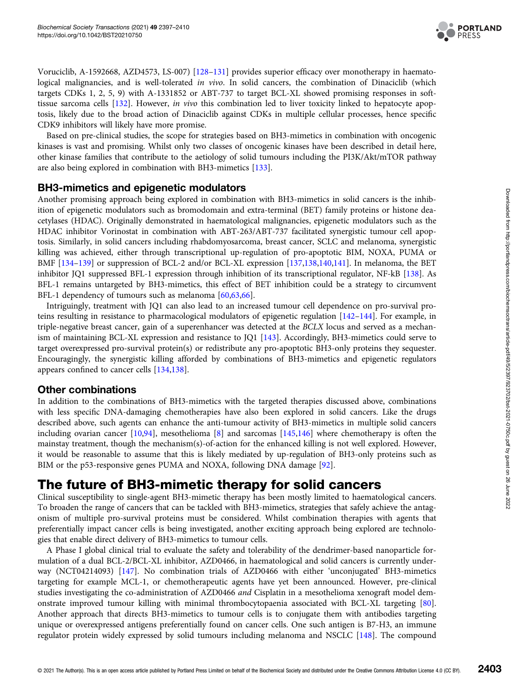

Voruciclib, A-1592668, AZD4573, LS-007) [\[128](#page-12-0)–[131](#page-12-0)] provides superior efficacy over monotherapy in haematological malignancies, and is well-tolerated in vivo. In solid cancers, the combination of Dinaciclib (which targets CDKs 1, 2, 5, 9) with A-1331852 or ABT-737 to target BCL-XL showed promising responses in softtissue sarcoma cells [[132](#page-12-0)]. However, in vivo this combination led to liver toxicity linked to hepatocyte apoptosis, likely due to the broad action of Dinaciclib against CDKs in multiple cellular processes, hence specific CDK9 inhibitors will likely have more promise.

Based on pre-clinical studies, the scope for strategies based on BH3-mimetics in combination with oncogenic kinases is vast and promising. Whilst only two classes of oncogenic kinases have been described in detail here, other kinase families that contribute to the aetiology of solid tumours including the PI3K/Akt/mTOR pathway are also being explored in combination with BH3-mimetics [\[133](#page-12-0)].

#### BH3-mimetics and epigenetic modulators

Another promising approach being explored in combination with BH3-mimetics in solid cancers is the inhibition of epigenetic modulators such as bromodomain and extra-terminal (BET) family proteins or histone deacetylases (HDAC). Originally demonstrated in haematological malignancies, epigenetic modulators such as the HDAC inhibitor Vorinostat in combination with ABT-263/ABT-737 facilitated synergistic tumour cell apoptosis. Similarly, in solid cancers including rhabdomyosarcoma, breast cancer, SCLC and melanoma, synergistic killing was achieved, either through transcriptional up-regulation of pro-apoptotic BIM, NOXA, PUMA or BMF [\[134](#page-12-0)–[139](#page-13-0)] or suppression of BCL-2 and/or BCL-XL expression [\[137,138](#page-12-0),[140,141](#page-13-0)]. In melanoma, the BET inhibitor JQ1 suppressed BFL-1 expression through inhibition of its transcriptional regulator, NF-kB [\[138\]](#page-12-0). As BFL-1 remains untargeted by BH3-mimetics, this effect of BET inhibition could be a strategy to circumvent BFL-1 dependency of tumours such as melanoma [[60,63,66\]](#page-10-0).

Intriguingly, treatment with JQ1 can also lead to an increased tumour cell dependence on pro-survival proteins resulting in resistance to pharmacological modulators of epigenetic regulation [[142](#page-13-0)–[144\]](#page-13-0). For example, in triple-negative breast cancer, gain of a superenhancer was detected at the BCLX locus and served as a mechanism of maintaining BCL-XL expression and resistance to JQ1 [[143](#page-13-0)]. Accordingly, BH3-mimetics could serve to target overexpressed pro-survival protein(s) or redistribute any pro-apoptotic BH3-only proteins they sequester. Encouragingly, the synergistic killing afforded by combinations of BH3-mimetics and epigenetic regulators appears confined to cancer cells [\[134,138](#page-12-0)].

#### Other combinations

In addition to the combinations of BH3-mimetics with the targeted therapies discussed above, combinations with less specific DNA-damaging chemotherapies have also been explored in solid cancers. Like the drugs described above, such agents can enhance the anti-tumour activity of BH3-mimetics in multiple solid cancers including ovarian cancer [[10](#page-8-0),[94](#page-11-0)], mesothelioma [[8\]](#page-8-0) and sarcomas [[145,146\]](#page-13-0) where chemotherapy is often the mainstay treatment, though the mechanism(s)-of-action for the enhanced killing is not well explored. However, it would be reasonable to assume that this is likely mediated by up-regulation of BH3-only proteins such as BIM or the p53-responsive genes PUMA and NOXA, following DNA damage [[92](#page-11-0)].

## The future of BH3-mimetic therapy for solid cancers

Clinical susceptibility to single-agent BH3-mimetic therapy has been mostly limited to haematological cancers. To broaden the range of cancers that can be tackled with BH3-mimetics, strategies that safely achieve the antagonism of multiple pro-survival proteins must be considered. Whilst combination therapies with agents that preferentially impact cancer cells is being investigated, another exciting approach being explored are technologies that enable direct delivery of BH3-mimetics to tumour cells.

A Phase I global clinical trial to evaluate the safety and tolerability of the dendrimer-based nanoparticle formulation of a dual BCL-2/BCL-XL inhibitor, AZD0466, in haematological and solid cancers is currently underway (NCT04214093) [\[147\]](#page-13-0). No combination trials of AZD0466 with either 'unconjugated' BH3-mimetics targeting for example MCL-1, or chemotherapeutic agents have yet been announced. However, pre-clinical studies investigating the co-administration of AZD0466 and Cisplatin in a mesothelioma xenograft model demonstrate improved tumour killing with minimal thrombocytopaenia associated with BCL-XL targeting [[80\]](#page-11-0). Another approach that directs BH3-mimetics to tumour cells is to conjugate them with antibodies targeting unique or overexpressed antigens preferentially found on cancer cells. One such antigen is B7-H3, an immune regulator protein widely expressed by solid tumours including melanoma and NSCLC [\[148\]](#page-13-0). The compound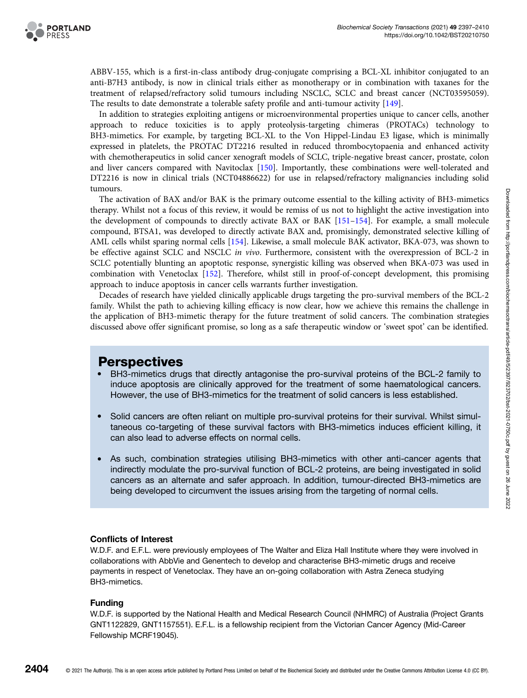

ABBV-155, which is a first-in-class antibody drug-conjugate comprising a BCL-XL inhibitor conjugated to an anti-B7H3 antibody, is now in clinical trials either as monotherapy or in combination with taxanes for the treatment of relapsed/refractory solid tumours including NSCLC, SCLC and breast cancer (NCT03595059). The results to date demonstrate a tolerable safety profile and anti-tumour activity [[149](#page-13-0)].

In addition to strategies exploiting antigens or microenvironmental properties unique to cancer cells, another approach to reduce toxicities is to apply proteolysis-targeting chimeras (PROTACs) technology to BH3-mimetics. For example, by targeting BCL-XL to the Von Hippel-Lindau E3 ligase, which is minimally expressed in platelets, the PROTAC DT2216 resulted in reduced thrombocytopaenia and enhanced activity with chemotherapeutics in solid cancer xenograft models of SCLC, triple-negative breast cancer, prostate, colon and liver cancers compared with Navitoclax [[150](#page-13-0)]. Importantly, these combinations were well-tolerated and DT2216 is now in clinical trials (NCT04886622) for use in relapsed/refractory malignancies including solid tumours.

The activation of BAX and/or BAK is the primary outcome essential to the killing activity of BH3-mimetics therapy. Whilst not a focus of this review, it would be remiss of us not to highlight the active investigation into the development of compounds to directly activate BAX or BAK [[151](#page-13-0)–[154\]](#page-13-0). For example, a small molecule compound, BTSA1, was developed to directly activate BAX and, promisingly, demonstrated selective killing of AML cells whilst sparing normal cells [[154](#page-13-0)]. Likewise, a small molecule BAK activator, BKA-073, was shown to be effective against SCLC and NSCLC in vivo. Furthermore, consistent with the overexpression of BCL-2 in SCLC potentially blunting an apoptotic response, synergistic killing was observed when BKA-073 was used in combination with Venetoclax [\[152](#page-13-0)]. Therefore, whilst still in proof-of-concept development, this promising approach to induce apoptosis in cancer cells warrants further investigation.

Decades of research have yielded clinically applicable drugs targeting the pro-survival members of the BCL-2 family. Whilst the path to achieving killing efficacy is now clear, how we achieve this remains the challenge in the application of BH3-mimetic therapy for the future treatment of solid cancers. The combination strategies discussed above offer significant promise, so long as a safe therapeutic window or 'sweet spot' can be identified.

### **Perspectives**

- BH3-mimetics drugs that directly antagonise the pro-survival proteins of the BCL-2 family to induce apoptosis are clinically approved for the treatment of some haematological cancers. However, the use of BH3-mimetics for the treatment of solid cancers is less established.
- Solid cancers are often reliant on multiple pro-survival proteins for their survival. Whilst simultaneous co-targeting of these survival factors with BH3-mimetics induces efficient killing, it can also lead to adverse effects on normal cells.
- As such, combination strategies utilising BH3-mimetics with other anti-cancer agents that indirectly modulate the pro-survival function of BCL-2 proteins, are being investigated in solid cancers as an alternate and safer approach. In addition, tumour-directed BH3-mimetics are being developed to circumvent the issues arising from the targeting of normal cells.

#### Conflicts of Interest

W.D.F. and E.F.L. were previously employees of The Walter and Eliza Hall Institute where they were involved in collaborations with AbbVie and Genentech to develop and characterise BH3-mimetic drugs and receive payments in respect of Venetoclax. They have an on-going collaboration with Astra Zeneca studying BH3-mimetics.

#### Funding

W.D.F. is supported by the National Health and Medical Research Council (NHMRC) of Australia (Project Grants GNT1122829, GNT1157551). E.F.L. is a fellowship recipient from the Victorian Cancer Agency (Mid-Career Fellowship MCRF19045).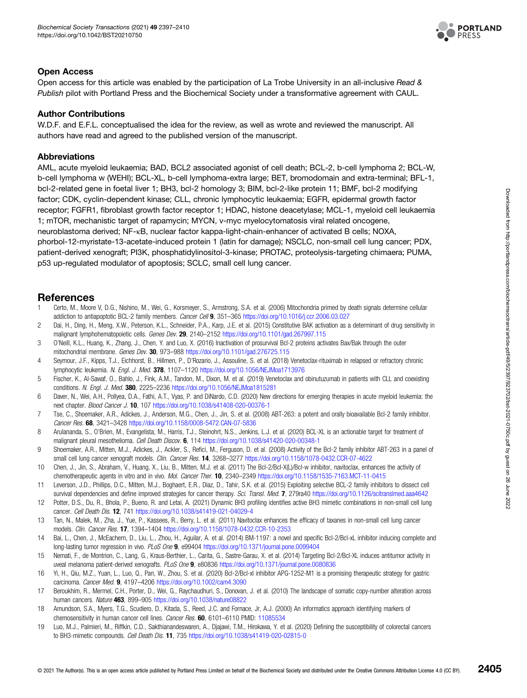

#### <span id="page-8-0"></span>Open Access

Open access for this article was enabled by the participation of La Trobe University in an all-inclusive Read & Publish pilot with Portland Press and the Biochemical Society under a transformative agreement with CAUL.

#### Author Contributions

W.D.F. and E.F.L. conceptualised the idea for the review, as well as wrote and reviewed the manuscript. All authors have read and agreed to the published version of the manuscript.

#### **Abbreviations**

AML, acute myeloid leukaemia; BAD, BCL2 associated agonist of cell death; BCL-2, b-cell lymphoma 2; BCL-W, b-cell lymphoma w (WEHI); BCL-XL, b-cell lymphoma-extra large; BET, bromodomain and extra-terminal; BFL-1, bcl-2-related gene in foetal liver 1; BH3, bcl-2 homology 3; BIM, bcl-2-like protein 11; BMF, bcl-2 modifying factor; CDK, cyclin-dependent kinase; CLL, chronic lymphocytic leukaemia; EGFR, epidermal growth factor receptor; FGFR1, fibroblast growth factor receptor 1; HDAC, histone deacetylase; MCL-1, myeloid cell leukaemia 1; mTOR, mechanistic target of rapamycin; MYCN, v-myc myelocytomatosis viral related oncogene, neuroblastoma derived; NF-κB, nuclear factor kappa-light-chain-enhancer of activated B cells; NOXA, phorbol-12-myristate-13-acetate-induced protein 1 (latin for damage); NSCLC, non-small cell lung cancer; PDX, patient-derived xenograft; PI3K, phosphatidylinositol-3-kinase; PROTAC, proteolysis-targeting chimaera; PUMA, p53 up-regulated modulator of apoptosis; SCLC, small cell lung cancer.

#### References

- 1 Certo, M., Moore V, D.G., Nishino, M., Wei, G., Korsmeyer, S., Armstrong, S.A. et al. (2006) Mitochondria primed by death signals determine cellular addiction to antiapoptotic BCL-2 family members. Cancer Cell 9, 351–365 <https://doi.org/10.1016/j.ccr.2006.03.027>
- 2 Dai, H., Ding, H., Meng, X.W., Peterson, K.L., Schneider, P.A., Karp, J.E. et al. (2015) Constitutive BAK activation as a determinant of drug sensitivity in malignant lymphohematopoietic cells. Genes Dev. 29, 2140–2152 <https://doi.org/10.1101/gad.267997.115>
- 3 O'Neill, K.L., Huang, K., Zhang, J., Chen, Y. and Luo, X. (2016) Inactivation of prosurvival Bcl-2 proteins activates Bax/Bak through the outer mitochondrial membrane. Genes Dev. 30, 973–988 <https://doi.org/10.1101/gad.276725.115>
- 4 Seymour, J.F., Kipps, T.J., Eichhorst, B., Hillmen, P., D'Rozario, J., Assouline, S. et al. (2018) Venetoclax-rituximab in relapsed or refractory chronic lymphocytic leukemia. N. Engl. J. Med. 378, 1107-1120 <https://doi.org/10.1056/NEJMoa1713976>
- 5 Fischer, K., Al-Sawaf, O., Bahlo, J., Fink, A.M., Tandon, M., Dixon, M. et al. (2019) Venetoclax and obinutuzumab in patients with CLL and coexisting conditions. N. Engl. J. Med. 380, 2225–2236 <https://doi.org/10.1056/NEJMoa1815281>
- 6 Daver, N., Wei, A.H., Pollyea, D.A., Fathi, A.T., Vyas, P. and DiNardo, C.D. (2020) New directions for emerging therapies in acute myeloid leukemia: the next chapter. Blood Cancer J. 10, 107 <https://doi.org/10.1038/s41408-020-00376-1>
- 7 Tse, C., Shoemaker, A.R., Adickes, J., Anderson, M.G., Chen, J., Jin, S. et al. (2008) ABT-263: a potent and orally bioavailable Bcl-2 family inhibitor. Cancer Res. 68, 3421–3428 <https://doi.org/10.1158/0008-5472.CAN-07-5836>
- 8 Arulananda, S., O'Brien, M., Evangelista, M., Harris, T.J., Steinohrt, N.S., Jenkins, L.J. et al. (2020) BCL-XL is an actionable target for treatment of malignant pleural mesothelioma. Cell Death Discov. 6, 114 <https://doi.org/10.1038/s41420-020-00348-1>
- 9 Shoemaker, A.R., Mitten, M.J., Adickes, J., Ackler, S., Refici, M., Ferguson, D. et al. (2008) Activity of the Bcl-2 family inhibitor ABT-263 in a panel of small cell lung cancer xenograft models. Clin. Cancer Res. 14, 3268-3277 <https://doi.org/10.1158/1078-0432.CCR-07-4622>
- 10 Chen, J., Jin, S., Abraham, V., Huang, X., Liu, B., Mitten, M.J. et al. (2011) The Bcl-2/Bcl-X(L)/Bcl-w inhibitor, navitoclax, enhances the activity of chemotherapeutic agents in vitro and in vivo. Mol. Cancer Ther. 10, 2340–2349 <https://doi.org/10.1158/1535-7163.MCT-11-0415>
- 11 Leverson, J.D., Phillips, D.C., Mitten, M.J., Boghaert, E.R., Diaz, D., Tahir, S.K. et al. (2015) Exploiting selective BCL-2 family inhibitors to dissect cell survival dependencies and define improved strategies for cancer therapy. Sci. Transl. Med. 7, 279ra40 <https://doi.org/10.1126/scitranslmed.aaa4642>
- 12 Potter, D.S., Du, R., Bhola, P., Bueno, R. and Letai, A. (2021) Dynamic BH3 profiling identifies active BH3 mimetic combinations in non-small cell lung cancer. Cell Death Dis. 12, 741 <https://doi.org/10.1038/s41419-021-04029-4>
- 13 Tan, N., Malek, M., Zha, J., Yue, P., Kassees, R., Berry, L. et al. (2011) Navitoclax enhances the efficacy of taxanes in non-small cell lung cancer models. Clin. Cancer Res. 17, 1394–1404 <https://doi.org/10.1158/1078-0432.CCR-10-2353>
- 14 Bai, L., Chen, J., McEachern, D., Liu, L., Zhou, H., Aguilar, A. et al. (2014) BM-1197: a novel and specific Bcl-2/Bcl-xL inhibitor inducing complete and long-lasting tumor regression in vivo. PLoS One 9, e99404 <https://doi.org/10.1371/journal.pone.0099404>
- 15 Nemati, F., de Montrion, C., Lang, G., Kraus-Berthier, L., Carita, G., Sastre-Garau, X. et al. (2014) Targeting Bcl-2/Bcl-XL induces antitumor activity in uveal melanoma patient-derived xenografts. PLoS One 9, e80836 <https://doi.org/10.1371/journal.pone.0080836>
- 16 Yi, H., Qiu, M.Z., Yuan, L., Luo, Q., Pan, W., Zhou, S. et al. (2020) Bcl-2/Bcl-xl inhibitor APG-1252-M1 is a promising therapeutic strategy for gastric carcinoma. Cancer Med. 9, 4197–4206 <https://doi.org/10.1002/cam4.3090>
- 17 Beroukhim, R., Mermel, C.H., Porter, D., Wei, G., Raychaudhuri, S., Donovan, J. et al. (2010) The landscape of somatic copy-number alteration across human cancers. Nature 463, 899-905 <https://doi.org/10.1038/nature08822>
- 18 Amundson, S.A., Myers, T.G., Scudiero, D., Kitada, S., Reed, J.C. and Fornace, Jr, A.J. (2000) An informatics approach identifying markers of chemosensitivity in human cancer cell lines. Cancer Res. 60, 6101-6110 PMID: [11085534](http://www.ncbi.nlm.nih.gov/pubmed/11085534)
- 19 Luo, M.J., Palmieri, M., Riffkin, C.D., Sakthianandeswaren, A., Djajawi, T.M., Hirokawa, Y. et al. (2020) Defining the susceptibility of colorectal cancers to BH3-mimetic compounds. Cell Death Dis. 11, 735 <https://doi.org/10.1038/s41419-020-02815-0>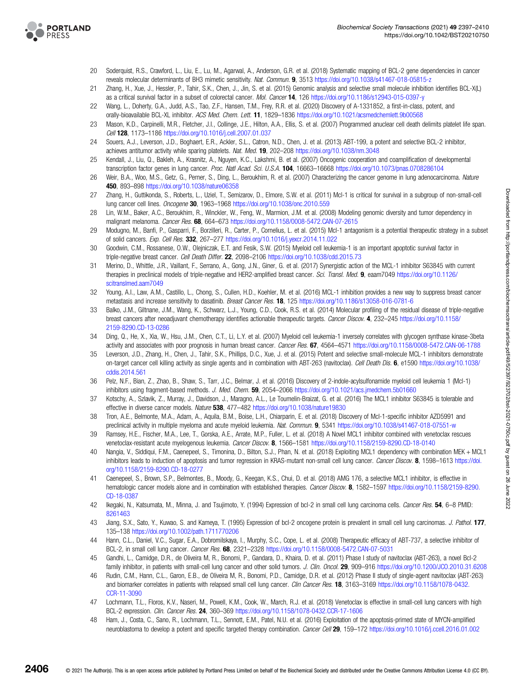<span id="page-9-0"></span>

- 20 Soderquist, R.S., Crawford, L., Liu, E., Lu, M., Agarwal, A., Anderson, G.R. et al. (2018) Systematic mapping of BCL-2 gene dependencies in cancer reveals molecular determinants of BH3 mimetic sensitivity. Nat. Commun. 9, 3513 <https://doi.org/10.1038/s41467-018-05815-z>
- 21 Zhang, H., Xue, J., Hessler, P., Tahir, S.K., Chen, J., Jin, S. et al. (2015) Genomic analysis and selective small molecule inhibition identifies BCL-X(L) as a critical survival factor in a subset of colorectal cancer. Mol. Cancer 14, 126 <https://doi.org/10.1186/s12943-015-0397-y>
- 22 Wang, L., Doherty, G.A., Judd, A.S., Tao, Z.F., Hansen, T.M., Frey, R.R. et al. (2020) Discovery of A-1331852, a first-in-class, potent, and orally-bioavailable BCL-XL inhibitor. ACS Med. Chem. Lett. 11, 1829-1836 <https://doi.org/10.1021/acsmedchemlett.9b00568>
- 23 Mason, K.D., Carpinelli, M.R., Fletcher, J.I., Collinge, J.E., Hilton, A.A., Ellis, S. et al. (2007) Programmed anuclear cell death delimits platelet life span. Cell 128, 1173–1186 <https://doi.org/10.1016/j.cell.2007.01.037>
- 24 Souers, A.J., Leverson, J.D., Boghaert, E.R., Ackler, S.L., Catron, N.D., Chen, J. et al. (2013) ABT-199, a potent and selective BCL-2 inhibitor, achieves antitumor activity while sparing platelets. Nat. Med. 19, 202-208 <https://doi.org/10.1038/nm.3048>
- 25 Kendall, J., Liu, Q., Bakleh, A., Krasnitz, A., Nguyen, K.C., Lakshmi, B. et al. (2007) Oncogenic cooperation and coamplification of developmental transcription factor genes in lung cancer. Proc. Natl Acad. Sci. U.S.A. 104, 16663-16668 <https://doi.org/10.1073/pnas.0708286104>
- 26 Weir, B.A., Woo, M.S., Getz, G., Perner, S., Ding, L., Beroukhim, R. et al. (2007) Characterizing the cancer genome in lung adenocarcinoma. Nature 450, 893–898 <https://doi.org/10.1038/nature06358>
- 27 Zhang, H., Guttikonda, S., Roberts, L., Uziel, T., Semizarov, D., Elmore, S.W. et al. (2011) Mcl-1 is critical for survival in a subgroup of non-small-cell lung cancer cell lines. Oncogene 30, 1963–1968 <https://doi.org/10.1038/onc.2010.559>
- 28 Lin, W.M., Baker, A.C., Beroukhim, R., Winckler, W., Feng, W., Marmion, J.M. et al. (2008) Modeling genomic diversity and tumor dependency in malignant melanoma. Cancer Res. 68, 664-673 <https://doi.org/10.1158/0008-5472.CAN-07-2615>
- 29 Modugno, M., Banfi, P., Gasparri, F., Borzilleri, R., Carter, P., Cornelius, L. et al. (2015) Mcl-1 antagonism is a potential therapeutic strategy in a subset of solid cancers. Exp. Cell Res. 332, 267–277 <https://doi.org/10.1016/j.yexcr.2014.11.022>
- 30 Goodwin, C.M., Rossanese, O.W., Olejniczak, E.T. and Fesik, S.W. (2015) Myeloid cell leukemia-1 is an important apoptotic survival factor in triple-negative breast cancer. Cell Death Differ. 22, 2098-2106 <https://doi.org/10.1038/cdd.2015.73>
- 31 Merino, D., Whittle, J.R., Vaillant, F., Serrano, A., Gong, J.N., Giner, G. et al. (2017) Synergistic action of the MCL-1 inhibitor S63845 with current therapies in preclinical models of triple-negative and HER2-amplified breast cancer. Sci. Transl. Med. 9, eaam7049 [https://doi.org/10.1126/](https://doi.org/10.1126/scitranslmed.aam7049) [scitranslmed.aam7049](https://doi.org/10.1126/scitranslmed.aam7049)
- 32 Young, A.I., Law, A.M., Castillo, L., Chong, S., Cullen, H.D., Koehler, M. et al. (2016) MCL-1 inhibition provides a new way to suppress breast cancer metastasis and increase sensitivity to dasatinib. Breast Cancer Res. 18, 125 <https://doi.org/10.1186/s13058-016-0781-6>
- 33 Balko, J.M., Giltnane, J.M., Wang, K., Schwarz, L.J., Young, C.D., Cook, R.S. et al. (2014) Molecular profiling of the residual disease of triple-negative breast cancers after neoadjuvant chemotherapy identifies actionable therapeutic targets. Cancer Discov. 4, 232-245 [https://doi.org/10.1158/](https://doi.org/10.1158/2159-8290.CD-13-0286) [2159-8290.CD-13-0286](https://doi.org/10.1158/2159-8290.CD-13-0286)
- 34 Ding, Q., He, X., Xia, W., Hsu, J.M., Chen, C.T., Li, L.Y. et al. (2007) Myeloid cell leukemia-1 inversely correlates with glycogen synthase kinase-3beta activity and associates with poor prognosis in human breast cancer. Cancer Res. 67, 4564–4571 <https://doi.org/10.1158/0008-5472.CAN-06-1788>
- 35 Leverson, J.D., Zhang, H., Chen, J., Tahir, S.K., Phillips, D.C., Xue, J. et al. (2015) Potent and selective small-molecule MCL-1 inhibitors demonstrate on-target cancer cell killing activity as single agents and in combination with ABT-263 (navitoclax). Cell Death Dis. 6, e1590 [https://doi.org/10.1038/](https://doi.org/10.1038/cddis.2014.561) [cddis.2014.561](https://doi.org/10.1038/cddis.2014.561)
- 36 Pelz, N.F., Bian, Z., Zhao, B., Shaw, S., Tarr, J.C., Belmar, J. et al. (2016) Discovery of 2-indole-acylsulfonamide myeloid cell leukemia 1 (Mcl-1) inhibitors using fragment-based methods. J. Med. Chem. 59, 2054–2066 <https://doi.org/10.1021/acs.jmedchem.5b01660>
- 37 Kotschy, A., Szlavik, Z., Murray, J., Davidson, J., Maragno, A.L., Le Toumelin-Braizat, G. et al. (2016) The MCL1 inhibitor S63845 is tolerable and effective in diverse cancer models. Nature 538, 477-482 <https://doi.org/10.1038/nature19830>
- 38 Tron, A.E., Belmonte, M.A., Adam, A., Aquila, B.M., Boise, L.H., Chiarparin, E. et al. (2018) Discovery of Mcl-1-specific inhibitor AZD5991 and preclinical activity in multiple myeloma and acute myeloid leukemia. Nat. Commun. 9, 5341 <https://doi.org/10.1038/s41467-018-07551-w>
- 39 Ramsey, H.E., Fischer, M.A., Lee, T., Gorska, A.E., Arrate, M.P., Fuller, L. et al. (2018) A Novel MCL1 inhibitor combined with venetoclax rescues venetoclax-resistant acute myelogenous leukemia. Cancer Discov. 8, 1566–1581 <https://doi.org/10.1158/2159-8290.CD-18-0140>
- 40 Nangia, V., Siddiqui, F.M., Caenepeel, S., Timonina, D., Bilton, S.J., Phan, N. et al. (2018) Exploiting MCL1 dependency with combination MEK + MCL1 inhibitors leads to induction of apoptosis and tumor regression in KRAS-mutant non-small cell lung cancer. Cancer Discov. 8, 1598–1613 [https://doi.](https://doi.org/10.1158/2159-8290.CD-18-0277) [org/10.1158/2159-8290.CD-18-0277](https://doi.org/10.1158/2159-8290.CD-18-0277)
- 41 Caenepeel, S., Brown, S.P., Belmontes, B., Moody, G., Keegan, K.S., Chui, D. et al. (2018) AMG 176, a selective MCL1 inhibitor, is effective in hematologic cancer models alone and in combination with established therapies. Cancer Discov. 8, 1582–1597 [https://doi.org/10.1158/2159-8290.](https://doi.org/10.1158/2159-8290.CD-18-0387) [CD-18-0387](https://doi.org/10.1158/2159-8290.CD-18-0387)
- 42 Ikegaki, N., Katsumata, M., Minna, J. and Tsujimoto, Y. (1994) Expression of bcl-2 in small cell lung carcinoma cells. Cancer Res. 54, 6-8 PMID: [8261463](http://www.ncbi.nlm.nih.gov/pubmed/8261463)
- 43 Jiang, S.X., Sato, Y., Kuwao, S. and Kameya, T. (1995) Expression of bcl-2 oncogene protein is prevalent in small cell lung carcinomas. J. Pathol. 177, 135–138 <https://doi.org/10.1002/path.1711770206>
- 44 Hann, C.L., Daniel, V.C., Sugar, E.A., Dobromilskaya, I., Murphy, S.C., Cope, L. et al. (2008) Therapeutic efficacy of ABT-737, a selective inhibitor of BCL-2, in small cell lung cancer. Cancer Res. 68, 2321–2328 <https://doi.org/10.1158/0008-5472.CAN-07-5031>
- 45 Gandhi, L., Camidge, D.R., de Oliveira M, R., Bonomi, P., Gandara, D., Khaira, D. et al. (2011) Phase I study of navitoclax (ABT-263), a novel Bcl-2 family inhibitor, in patients with small-cell lung cancer and other solid tumors. J. Clin. Oncol. 29, 909-916 <https://doi.org/10.1200/JCO.2010.31.6208>
- 46 Rudin, C.M., Hann, C.L., Garon, E.B., de Oliveira M, R., Bonomi, P.D., Camidge, D.R. et al. (2012) Phase II study of single-agent navitoclax (ABT-263) and biomarker correlates in patients with relapsed small cell lung cancer. Clin Cancer Res. 18, 3163-3169 [https://doi.org/10.1158/1078-0432.](https://doi.org/10.1158/1078-0432.CCR-11-3090) [CCR-11-3090](https://doi.org/10.1158/1078-0432.CCR-11-3090)
- 47 Lochmann, T.L., Floros, K.V., Naseri, M., Powell, K.M., Cook, W., March, R.J. et al. (2018) Venetoclax is effective in small-cell lung cancers with high BCL-2 expression. Clin. Cancer Res. 24, 360–369 <https://doi.org/10.1158/1078-0432.CCR-17-1606>
- 48 Ham, J., Costa, C., Sano, R., Lochmann, T.L., Sennott, E.M., Patel, N.U. et al. (2016) Exploitation of the apoptosis-primed state of MYCN-amplified neuroblastoma to develop a potent and specific targeted therapy combination. Cancer Cell 29, 159-172 <https://doi.org/10.1016/j.ccell.2016.01.002>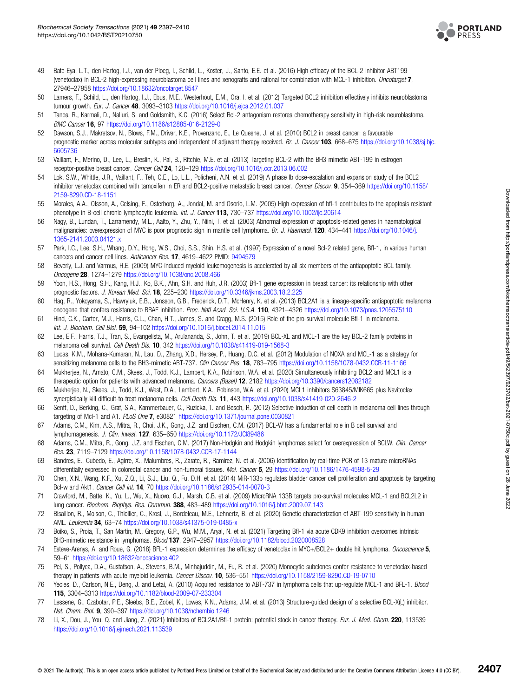

- <span id="page-10-0"></span>49 Bate-Eya, L.T., den Hartog, I.J., van der Ploeg, I., Schild, L., Koster, J., Santo, E.E. et al. (2016) High efficacy of the BCL-2 inhibitor ABT199 (venetoclax) in BCL-2 high-expressing neuroblastoma cell lines and xenografts and rational for combination with MCL-1 inhibition. Oncotarget 7, 27946–27958 <https://doi.org/10.18632/oncotarget.8547>
- 50 Lamers, F., Schild, L., den Hartog, I.J., Ebus, M.E., Westerhout, E.M., Ora, I. et al. (2012) Targeted BCL2 inhibition effectively inhibits neuroblastoma tumour growth. Eur. J. Cancer 48, 3093–3103 <https://doi.org/10.1016/j.ejca.2012.01.037>
- 51 Tanos, R., Karmali, D., Nalluri, S. and Goldsmith, K.C. (2016) Select Bcl-2 antagonism restores chemotherapy sensitivity in high-risk neuroblastoma. BMC Cancer 16, 97 <https://doi.org/10.1186/s12885-016-2129-0>
- 52 Dawson, S.J., Makretsov, N., Blows, F.M., Driver, K.E., Provenzano, E., Le Quesne, J. et al. (2010) BCL2 in breast cancer: a favourable prognostic marker across molecular subtypes and independent of adjuvant therapy received. Br. J. Cancer 103, 668–675 [https://doi.org/10.1038/sj.bjc.](https://doi.org/10.1038/sj.bjc.6605736) [6605736](https://doi.org/10.1038/sj.bjc.6605736)
- 53 Vaillant, F., Merino, D., Lee, L., Breslin, K., Pal, B., Ritchie, M.E. et al. (2013) Targeting BCL-2 with the BH3 mimetic ABT-199 in estrogen receptor-positive breast cancer. Cancer Cell 24, 120–129 <https://doi.org/10.1016/j.ccr.2013.06.002>
- 54 Lok, S.W., Whittle, J.R., Vaillant, F., Teh, C.E., Lo, L.L., Policheni, A.N. et al. (2019) A phase Ib dose-escalation and expansion study of the BCL2 inhibitor venetoclax combined with tamoxifen in ER and BCL2-positive metastatic breast cancer. Cancer Discov. 9, 354–369 [https://doi.org/10.1158/](https://doi.org/10.1158/2159-8290.CD-18-1151) [2159-8290.CD-18-1151](https://doi.org/10.1158/2159-8290.CD-18-1151)
- 55 Morales, A.A., Olsson, A., Celsing, F., Osterborg, A., Jondal, M. and Osorio, L.M. (2005) High expression of bfl-1 contributes to the apoptosis resistant phenotype in B-cell chronic lymphocytic leukemia. Int. J. Cancer 113, 730–737 <https://doi.org/10.1002/ijc.20614>
- 56 Nagy, B., Lundan, T., Larramendy, M.L., Aalto, Y., Zhu, Y., Niini, T. et al. (2003) Abnormal expression of apoptosis-related genes in haematological malignancies: overexpression of MYC is poor prognostic sign in mantle cell lymphoma. Br. J. Haematol. 120, 434-441 [https://doi.org/10.1046/j.](https://doi.org/10.1046/j.1365-2141.2003.04121.x) [1365-2141.2003.04121.x](https://doi.org/10.1046/j.1365-2141.2003.04121.x)
- 57 Park, I.C., Lee, S.H., Whang, D.Y., Hong, W.S., Choi, S.S., Shin, H.S. et al. (1997) Expression of a novel Bcl-2 related gene, Bfl-1, in various human cancers and cancer cell lines. Anticancer Res. 17, 4619–4622 PMID: [9494579](http://www.ncbi.nlm.nih.gov/pubmed/9494579)
- 58 Beverly, L.J. and Varmus, H.E. (2009) MYC-induced myeloid leukemogenesis is accelerated by all six members of the antiapoptotic BCL family. Oncogene 28, 1274–1279 <https://doi.org/10.1038/onc.2008.466>
- 59 Yoon, H.S., Hong, S.H., Kang, H.J., Ko, B.K., Ahn, S.H. and Huh, J.R. (2003) Bfl-1 gene expression in breast cancer: its relationship with other prognostic factors. J. Korean Med. Sci. 18, 225–230 <https://doi.org/10.3346/jkms.2003.18.2.225>
- 60 Haq, R., Yokoyama, S., Hawryluk, E.B., Jonsson, G.B., Frederick, D.T., McHenry, K. et al. (2013) BCL2A1 is a lineage-specific antiapoptotic melanoma oncogene that confers resistance to BRAF inhibition. Proc. Natl Acad. Sci. U.S.A. 110, 4321-4326 <https://doi.org/10.1073/pnas.1205575110>
- 61 Hind, C.K., Carter, M.J., Harris, C.L., Chan, H.T., James, S. and Cragg, M.S. (2015) Role of the pro-survival molecule Bfl-1 in melanoma. Int. J. Biochem. Cell Biol. 59, 94–102 <https://doi.org/10.1016/j.biocel.2014.11.015>
- 62 Lee, E.F., Harris, T.J., Tran, S., Evangelista, M., Arulananda, S., John, T. et al. (2019) BCL-XL and MCL-1 are the key BCL-2 family proteins in melanoma cell survival. Cell Death Dis. 10, 342 <https://doi.org/10.1038/s41419-019-1568-3>
- 63 Lucas, K.M., Mohana-Kumaran, N., Lau, D., Zhang, X.D., Hersey, P., Huang, D.C. et al. (2012) Modulation of NOXA and MCL-1 as a strategy for sensitizing melanoma cells to the BH3-mimetic ABT-737. Clin Cancer Res. 18, 783-795 <https://doi.org/10.1158/1078-0432.CCR-11-1166>
- 64 Mukherjee, N., Amato, C.M., Skees, J., Todd, K.J., Lambert, K.A., Robinson, W.A. et al. (2020) Simultaneously inhibiting BCL2 and MCL1 is a therapeutic option for patients with advanced melanoma. Cancers (Basel) 12, 2182 <https://doi.org/10.3390/cancers12082182>
- 65 Mukherjee, N., Skees, J., Todd, K.J., West, D.A., Lambert, K.A., Robinson, W.A. et al. (2020) MCL1 inhibitors S63845/MIK665 plus Navitoclax synergistically kill difficult-to-treat melanoma cells. Cell Death Dis. 11, 443 <https://doi.org/10.1038/s41419-020-2646-2>
- 66 Senft, D., Berking, C., Graf, S.A., Kammerbauer, C., Ruzicka, T. and Besch, R. (2012) Selective induction of cell death in melanoma cell lines through targeting of Mcl-1 and A1. PLoS One 7, e30821 <https://doi.org/10.1371/journal.pone.0030821>
- 67 Adams, C.M., Kim, A.S., Mitra, R., Choi, J.K., Gong, J.Z. and Eischen, C.M. (2017) BCL-W has a fundamental role in B cell survival and lymphomagenesis. J. Clin. Invest. 127, 635–650 <https://doi.org/10.1172/JCI89486>
- 68 Adams, C.M., Mitra, R., Gong, J.Z. and Eischen, C.M. (2017) Non-Hodgkin and Hodgkin lymphomas select for overexpression of BCLW. Clin. Cancer Res. 23, 7119–7129 <https://doi.org/10.1158/1078-0432.CCR-17-1144>
- 69 Bandres, E., Cubedo, E., Agirre, X., Malumbres, R., Zarate, R., Ramirez, N. et al. (2006) Identification by real-time PCR of 13 mature microRNAs differentially expressed in colorectal cancer and non-tumoral tissues. Mol. Cancer 5, 29 <https://doi.org/10.1186/1476-4598-5-29>
- 70 Chen, X.N., Wang, K.F., Xu, Z.Q., Li, S.J., Liu, Q., Fu, D.H. et al. (2014) MiR-133b regulates bladder cancer cell proliferation and apoptosis by targeting Bcl-w and Akt1. Cancer Cell Int. 14, 70 <https://doi.org/10.1186/s12935-014-0070-3>
- 71 Crawford, M., Batte, K., Yu, L., Wu, X., Nuovo, G.J., Marsh, C.B. et al. (2009) MicroRNA 133B targets pro-survival molecules MCL-1 and BCL2L2 in lung cancer. Biochem. Biophys. Res. Commun. 388, 483–489 <https://doi.org/10.1016/j.bbrc.2009.07.143>
- 72 Bisaillon, R., Moison, C., Thiollier, C., Krosl, J., Bordeleau, M.E., Lehnertz, B. et al. (2020) Genetic characterization of ABT-199 sensitivity in human AML. Leukemia 34, 63–74 <https://doi.org/10.1038/s41375-019-0485-x>
- 73 Boiko, S., Proia, T., San Martin, M., Gregory, G.P., Wu, M.M., Aryal, N. et al. (2021) Targeting Bfl-1 via acute CDK9 inhibition overcomes intrinsic BH3-mimetic resistance in lymphomas. Blood 137, 2947–2957 <https://doi.org/10.1182/blood.2020008528>
- 74 Esteve-Arenys, A. and Roue, G. (2018) BFL-1 expression determines the efficacy of venetoclax in MYC+/BCL2+ double hit lymphoma. Oncoscience 5, 59–61 <https://doi.org/10.18632/oncoscience.402>
- 75 Pei, S., Pollyea, D.A., Gustafson, A., Stevens, B.M., Minhajuddin, M., Fu, R. et al. (2020) Monocytic subclones confer resistance to venetoclax-based therapy in patients with acute myeloid leukemia. Cancer Discov. 10, 536-551 <https://doi.org/10.1158/2159-8290.CD-19-0710>
- 76 Yecies, D., Carlson, N.E., Deng, J. and Letai, A. (2010) Acquired resistance to ABT-737 in lymphoma cells that up-regulate MCL-1 and BFL-1. Blood 115, 3304–3313 <https://doi.org/10.1182/blood-2009-07-233304>
- 77 Lessene, G., Czabotar, P.E., Sleebs, B.E., Zobel, K., Lowes, K.N., Adams, J.M. et al. (2013) Structure-guided design of a selective BCL-X(L) inhibitor. Nat. Chem. Biol. 9, 390–397 <https://doi.org/10.1038/nchembio.1246>
- 78 Li, X., Dou, J., You, Q. and Jiang, Z. (2021) Inhibitors of BCL2A1/Bfl-1 protein: potential stock in cancer therapy. Eur. J. Med. Chem. 220, 113539 <https://doi.org/10.1016/j.ejmech.2021.113539>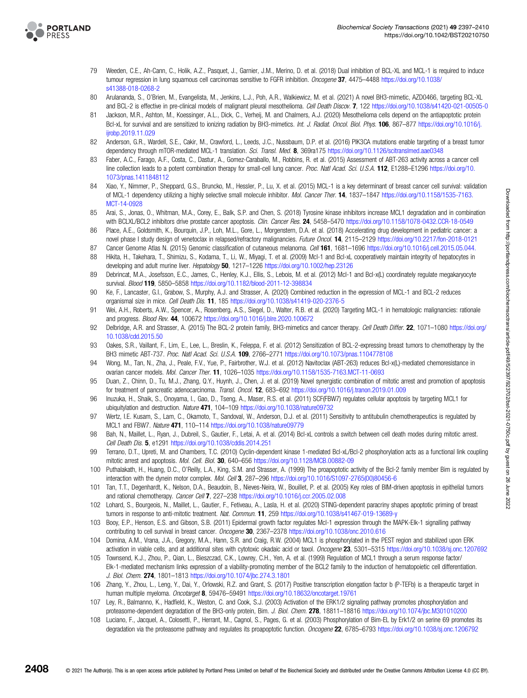<span id="page-11-0"></span>

- 79 Weeden, C.E., Ah-Cann, C., Holik, A.Z., Pasquet, J., Garnier, J.M., Merino, D. et al. (2018) Dual inhibition of BCL-XL and MCL-1 is required to induce tumour regression in lung squamous cell carcinomas sensitive to FGFR inhibition. Oncogene 37, 4475-4488 [https://doi.org/10.1038/](https://doi.org/10.1038/s41388-018-0268-2) [s41388-018-0268-2](https://doi.org/10.1038/s41388-018-0268-2)
- 80 Arulananda, S., O'Brien, M., Evangelista, M., Jenkins, L.J., Poh, A.R., Walkiewicz, M. et al. (2021) A novel BH3-mimetic, AZD0466, targeting BCL-XL and BCL-2 is effective in pre-clinical models of malignant pleural mesothelioma. Cell Death Discov. 7, 122 <https://doi.org/10.1038/s41420-021-00505-0>
- 81 Jackson, M.R., Ashton, M., Koessinger, A.L., Dick, C., Verheij, M. and Chalmers, A.J. (2020) Mesothelioma cells depend on the antiapoptotic protein Bcl-xL for survival and are sensitized to ionizing radiation by BH3-mimetics. Int. J. Radiat. Oncol. Biol. Phys. 106, 867–877 [https://doi.org/10.1016/j.](https://doi.org/10.1016/j.ijrobp.2019.11.029) iirobp.2019.11.029
- 82 Anderson, G.R., Wardell, S.E., Cakir, M., Crawford, L., Leeds, J.C., Nussbaum, D.P. et al. (2016) PIK3CA mutations enable targeting of a breast tumor dependency through mTOR-mediated MCL-1 translation. Sci. Transl. Med. 8, 369ra175 <https://doi.org/10.1126/scitranslmed.aae0348>
- 83 Faber, A.C., Farago, A.F., Costa, C., Dastur, A., Gomez-Caraballo, M., Robbins, R. et al. (2015) Assessment of ABT-263 activity across a cancer cell line collection leads to a potent combination therapy for small-cell lung cancer. Proc. Natl Acad. Sci. U.S.A. 112, E1288–E1296 [https://doi.org/10.](https://doi.org/10.1073/pnas.1411848112) [1073/pnas.1411848112](https://doi.org/10.1073/pnas.1411848112)
- 84 Xiao, Y., Nimmer, P., Sheppard, G.S., Bruncko, M., Hessler, P., Lu, X. et al. (2015) MCL-1 is a key determinant of breast cancer cell survival: validation of MCL-1 dependency utilizing a highly selective small molecule inhibitor. Mol. Cancer Ther. 14, 1837–1847 [https://doi.org/10.1158/1535-7163.](https://doi.org/10.1158/1535-7163.MCT-14-0928) [MCT-14-0928](https://doi.org/10.1158/1535-7163.MCT-14-0928)
- 85 Arai, S., Jonas, O., Whitman, M.A., Corey, E., Balk, S.P. and Chen, S. (2018) Tyrosine kinase inhibitors increase MCL1 degradation and in combination with BCLXL/BCL2 inhibitors drive prostate cancer apoptosis. Clin. Cancer Res. 24, 5458-5470 <https://doi.org/10.1158/1078-0432.CCR-18-0549>
- 86 Place, A.E., Goldsmith, K., Bourquin, J.P., Loh, M.L., Gore, L., Morgenstern, D.A. et al. (2018) Accelerating drug development in pediatric cancer: a novel phase I study design of venetoclax in relapsed/refractory malignancies. Future Oncol. 14, 2115–2129 <https://doi.org/10.2217/fon-2018-0121>
- 87 Cancer Genome Atlas N. (2015) Genomic classification of cutaneous melanoma. Cell 161, 1681-1696 <https://doi.org/10.1016/j.cell.2015.05.044.>
- 88 Hikita, H., Takehara, T., Shimizu, S., Kodama, T., Li, W., Miyagi, T. et al. (2009) Mcl-1 and Bcl-xL cooperatively maintain integrity of hepatocytes in developing and adult murine liver. Hepatology 50, 1217-1226 <https://doi.org/10.1002/hep.23126>
- 89 Debrincat, M.A., Josefsson, E.C., James, C., Henley, K.J., Ellis, S., Lebois, M. et al. (2012) Mcl-1 and Bcl-x(L) coordinately regulate megakaryocyte survival. Blood 119, 5850–5858 <https://doi.org/10.1182/blood-2011-12-398834>
- 90 Ke, F., Lancaster, G.I., Grabow, S., Murphy, A.J. and Strasser, A. (2020) Combined reduction in the expression of MCL-1 and BCL-2 reduces organismal size in mice. Cell Death Dis. 11, 185 <https://doi.org/10.1038/s41419-020-2376-5>
- 91 Wei, A.H., Roberts, A.W., Spencer, A., Rosenberg, A.S., Siegel, D., Walter, R.B. et al. (2020) Targeting MCL-1 in hematologic malignancies: rationale and progress. Blood Rev. 44, 100672 <https://doi.org/10.1016/j.blre.2020.100672>
- 92 Delbridge, A.R. and Strasser, A. (2015) The BCL-2 protein family, BH3-mimetics and cancer therapy. Cell Death Differ. 22, 1071-1080 [https://doi.org/](https://doi.org/10.1038/cdd.2015.50) [10.1038/cdd.2015.50](https://doi.org/10.1038/cdd.2015.50)
- 93 Oakes, S.R., Vaillant, F., Lim, E., Lee, L., Breslin, K., Feleppa, F. et al. (2012) Sensitization of BCL-2-expressing breast tumors to chemotherapy by the BH3 mimetic ABT-737. Proc. Natl Acad. Sci. U.S.A. 109, 2766–2771 <https://doi.org/10.1073/pnas.1104778108>
- 94 Wong, M., Tan, N., Zha, J., Peale, F.V., Yue, P., Fairbrother, W.J. et al. (2012) Navitoclax (ABT-263) reduces Bcl-x(L)-mediated chemoresistance in ovarian cancer models. Mol. Cancer Ther. 11, 1026–1035 <https://doi.org/10.1158/1535-7163.MCT-11-0693>
- 95 Duan, Z., Chinn, D., Tu, M.J., Zhang, Q.Y., Huynh, J., Chen, J. et al. (2019) Novel synergistic combination of mitotic arrest and promotion of apoptosis for treatment of pancreatic adenocarcinoma. Transl. Oncol. 12, 683–692 <https://doi.org/10.1016/j.tranon.2019.01.009>
- 96 Inuzuka, H., Shaik, S., Onoyama, I., Gao, D., Tseng, A., Maser, R.S. et al. (2011) SCF(FBW7) regulates cellular apoptosis by targeting MCL1 for ubiquitylation and destruction. Nature 471, 104-109 <https://doi.org/10.1038/nature09732>
- 97 Wertz, I.E. Kusam, S., Lam, C., Okamoto, T., Sandoval, W., Anderson, D.J. et al. (2011) Sensitivity to antitubulin chemotherapeutics is regulated by MCL1 and FBW7. Nature 471, 110–114 <https://doi.org/10.1038/nature09779>
- 98 Bah, N., Maillet, L., Ryan, J., Dubreil, S., Gautier, F., Letai, A. et al. (2014) Bcl-xL controls a switch between cell death modes during mitotic arrest. Cell Death Dis. 5, e1291 <https://doi.org/10.1038/cddis.2014.251>
- 99 Terrano, D.T., Upreti, M. and Chambers, T.C. (2010) Cyclin-dependent kinase 1-mediated Bcl-xL/Bcl-2 phosphorylation acts as a functional link coupling mitotic arrest and apoptosis. Mol. Cell. Biol. 30, 640-656 <https://doi.org/10.1128/MCB.00882-09>
- 100 Puthalakath, H., Huang, D.C., O'Reilly, L.A., King, S.M. and Strasser, A. (1999) The proapoptotic activity of the Bcl-2 family member Bim is regulated by interaction with the dynein motor complex. Mol. Cell 3, 287-296 [https://doi.org/10.1016/S1097-2765\(00\)80456-6](https://doi.org/10.1016/S1097-2765(00)80456-6)
- 101 Tan, T.T., Degenhardt, K., Nelson, D.A., Beaudoin, B., Nieves-Neira, W., Bouillet, P. et al. (2005) Key roles of BIM-driven apoptosis in epithelial tumors and rational chemotherapy. Cancer Cell 7, 227–238 <https://doi.org/10.1016/j.ccr.2005.02.008>
- 102 Lohard, S., Bourgeois, N., Maillet, L., Gautier, F., Fetiveau, A., Lasla, H. et al. (2020) STING-dependent paracriny shapes apoptotic priming of breast tumors in response to anti-mitotic treatment. Nat. Commun. 11, 259 <https://doi.org/10.1038/s41467-019-13689-y>
- 103 Booy, E.P., Henson, E.S. and Gibson, S.B. (2011) Epidermal growth factor regulates Mcl-1 expression through the MAPK-Elk-1 signalling pathway contributing to cell survival in breast cancer. Oncogene 30, 2367–2378 <https://doi.org/10.1038/onc.2010.616>
- 104 Domina, A.M., Vrana, J.A., Gregory, M.A., Hann, S.R. and Craig, R.W. (2004) MCL1 is phosphorylated in the PEST region and stabilized upon ERK activation in viable cells, and at additional sites with cytotoxic okadaic acid or taxol. Oncogene 23, 5301-5315 <https://doi.org/10.1038/sj.onc.1207692>
- 105 Townsend, K.J., Zhou, P., Qian, L., Bieszczad, C.K., Lowrey, C.H., Yen, A. et al. (1999) Regulation of MCL1 through a serum response factor/ Elk-1-mediated mechanism links expression of a viability-promoting member of the BCL2 family to the induction of hematopoietic cell differentiation. J. Biol. Chem. 274, 1801–1813 <https://doi.org/10.1074/jbc.274.3.1801>
- 106 Zhang, Y., Zhou, L., Leng, Y., Dai, Y., Orlowski, R.Z. and Grant, S. (2017) Positive transcription elongation factor b (P-TEFb) is a therapeutic target in human multiple myeloma. Oncotarget 8, 59476–59491 <https://doi.org/10.18632/oncotarget.19761>
- 107 Ley, R., Balmanno, K., Hadfield, K., Weston, C. and Cook, S.J. (2003) Activation of the ERK1/2 signaling pathway promotes phosphorylation and proteasome-dependent degradation of the BH3-only protein, Bim. J. Biol. Chem. 278, 18811–18816 <https://doi.org/10.1074/jbc.M301010200>
- 108 Luciano, F., Jacquel, A., Colosetti, P., Herrant, M., Cagnol, S., Pages, G. et al. (2003) Phosphorylation of Bim-EL by Erk1/2 on serine 69 promotes its degradation via the proteasome pathway and regulates its proapoptotic function. Oncogene 22, 6785–6793 <https://doi.org/10.1038/sj.onc.1206792>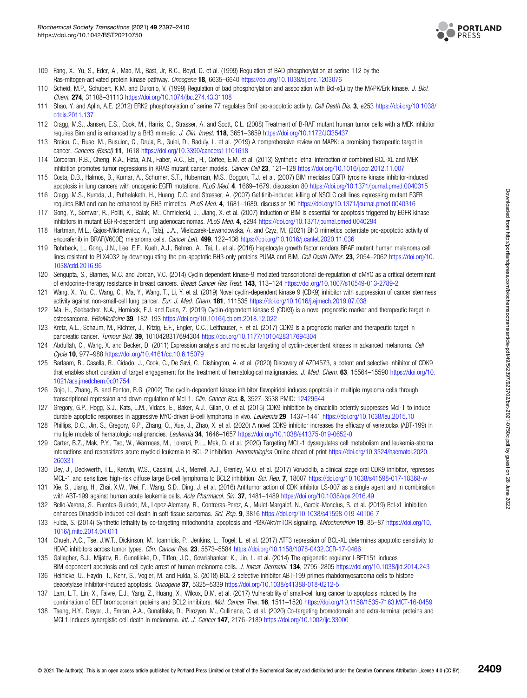

- <span id="page-12-0"></span>109 Fang, X., Yu, S., Eder, A., Mao, M., Bast, Jr, R.C., Boyd, D. et al. (1999) Regulation of BAD phosphorylation at serine 112 by the Ras-mitogen-activated protein kinase pathway. Oncogene 18, 6635-6640 <https://doi.org/10.1038/sj.onc.1203076>
- 110 Scheid, M.P., Schubert, K.M. and Duronio, V. (1999) Regulation of bad phosphorylation and association with Bcl-x(L) by the MAPK/Erk kinase. J. Biol. Chem. 274, 31108–31113 <https://doi.org/10.1074/jbc.274.43.31108>
- 111 Shao, Y. and Aplin, A.E. (2012) ERK2 phosphorylation of serine 77 regulates Bmf pro-apoptotic activity. Cell Death Dis. 3, e253 [https://doi.org/10.1038/](https://doi.org/10.1038/cddis.2011.137) [cddis.2011.137](https://doi.org/10.1038/cddis.2011.137)
- 112 Cragg, M.S., Jansen, E.S., Cook, M., Harris, C., Strasser, A. and Scott, C.L. (2008) Treatment of B-RAF mutant human tumor cells with a MEK inhibitor requires Bim and is enhanced by a BH3 mimetic. *J. Clin. Invest.* **118**, 3651–3659 https://doi.org/10.1172/JCl35437
- 113 Braicu, C., Buse, M., Busuioc, C., Drula, R., Gulei, D., Raduly, L. et al. (2019) A comprehensive review on MAPK: a promising therapeutic target in cancer. Cancers (Basel) 11, 1618 <https://doi.org/10.3390/cancers11101618>
- 114 Corcoran, R.B., Cheng, K.A., Hata, A.N., Faber, A.C., Ebi, H., Coffee, E.M. et al. (2013) Synthetic lethal interaction of combined BCL-XL and MEK inhibition promotes tumor regressions in KRAS mutant cancer models. Cancer Cell 23, 121-128 <https://doi.org/10.1016/j.ccr.2012.11.007>
- 115 Costa, D.B., Halmos, B., Kumar, A., Schumer, S.T., Huberman, M.S., Boggon, T.J. et al. (2007) BIM mediates EGFR tyrosine kinase inhibitor-induced apoptosis in lung cancers with oncogenic EGFR mutations. PLoS Med. 4, 1669-1679. discussion 80 <https://doi.org/10.1371/journal.pmed.0040315>
- 116 Cragg, M.S., Kuroda, J., Puthalakath, H., Huang, D.C. and Strasser, A. (2007) Gefitinib-induced killing of NSCLC cell lines expressing mutant EGFR requires BIM and can be enhanced by BH3 mimetics. PLoS Med. 4, 1681–1689. discussion 90 <https://doi.org/10.1371/journal.pmed.0040316>
- 117 Gong, Y., Somwar, R., Politi, K., Balak, M., Chmielecki, J., Jiang, X. et al. (2007) Induction of BIM is essential for apoptosis triggered by EGFR kinase inhibitors in mutant EGFR-dependent lung adenocarcinomas. PLoS Med. 4, e294 <https://doi.org/10.1371/journal.pmed.0040294>
- 118 Hartman, M.L., Gajos-Michniewicz, A., Talaj, J.A., Mielczarek-Lewandowska, A. and Czyz, M. (2021) BH3 mimetics potentiate pro-apoptotic activity of encorafenib in BRAF(V600E) melanoma cells. Cancer Lett. 499, 122-136 <https://doi.org/10.1016/j.canlet.2020.11.036>
- 119 Rohrbeck, L., Gong, J.N., Lee, E.F., Kueh, A.J., Behren, A., Tai, L. et al. (2016) Hepatocyte growth factor renders BRAF mutant human melanoma cell lines resistant to PLX4032 by downregulating the pro-apoptotic BH3-only proteins PUMA and BIM. Cell Death Differ. 23, 2054–2062 [https://doi.org/10.](https://doi.org/10.1038/cdd.2016.96) [1038/cdd.2016.96](https://doi.org/10.1038/cdd.2016.96)
- 120 Sengupta, S., Biarnes, M.C. and Jordan, V.C. (2014) Cyclin dependent kinase-9 mediated transcriptional de-regulation of cMYC as a critical determinant of endocrine-therapy resistance in breast cancers. Breast Cancer Res Treat. 143, 113-124 <https://doi.org/10.1007/s10549-013-2789-2>
- 121 Wang, X., Yu, C., Wang, C., Ma, Y., Wang, T., Li, Y. et al. (2019) Novel cyclin-dependent kinase 9 (CDK9) inhibitor with suppression of cancer stemness activity against non-small-cell lung cancer. Eur. J. Med. Chem. 181, 111535 <https://doi.org/10.1016/j.ejmech.2019.07.038>
- 122 Ma, H., Seebacher, N.A., Hornicek, F.J. and Duan, Z. (2019) Cyclin-dependent kinase 9 (CDK9) is a novel prognostic marker and therapeutic target in osteosarcoma. EBioMedicine 39, 182–193 <https://doi.org/10.1016/j.ebiom.2018.12.022>
- 123 Kretz, A.L., Schaum, M., Richter, J., Kitzig, E.F., Engler, C.C., Leithauser, F. et al. (2017) CDK9 is a prognostic marker and therapeutic target in pancreatic cancer. Tumour Biol. 39, 1010428317694304 <https://doi.org/10.1177/1010428317694304>
- 124 Abdullah, C., Wang, X. and Becker, D. (2011) Expression analysis and molecular targeting of cyclin-dependent kinases in advanced melanoma. Cell Cycle 10, 977–988 <https://doi.org/10.4161/cc.10.6.15079>
- 125 Barlaam, B., Casella, R., Cidado, J., Cook, C., De Savi, C., Dishington, A. et al. (2020) Discovery of AZD4573, a potent and selective inhibitor of CDK9 that enables short duration of target engagement for the treatment of hematological malignancies. J. Med. Chem. 63, 15564–15590 [https://doi.org/10.](https://doi.org/10.1021/acs.jmedchem.0c01754) [1021/acs.jmedchem.0c01754](https://doi.org/10.1021/acs.jmedchem.0c01754)
- 126 Gojo, I., Zhang, B. and Fenton, R.G. (2002) The cyclin-dependent kinase inhibitor flavopiridol induces apoptosis in multiple myeloma cells through transcriptional repression and down-regulation of Mcl-1. Clin. Cancer Res. 8, 3527-3538 PMID: [12429644](http://www.ncbi.nlm.nih.gov/pubmed/12429644)
- 127 Gregory, G.P., Hogg, S.J., Kats, L.M., Vidacs, E., Baker, A.J., Gilan, O. et al. (2015) CDK9 inhibition by dinaciclib potently suppresses Mcl-1 to induce durable apoptotic responses in aggressive MYC-driven B-cell lymphoma in vivo. Leukemia 29, 1437-1441 <https://doi.org/10.1038/leu.2015.10>
- 128 Phillips, D.C., Jin, S., Gregory, G.P., Zhang, Q., Xue, J., Zhao, X. et al. (2020) A novel CDK9 inhibitor increases the efficacy of venetoclax (ABT-199) in multiple models of hematologic malignancies. Leukemia 34, 1646–1657 <https://doi.org/10.1038/s41375-019-0652-0>
- 129 Carter, B.Z., Mak, P.Y., Tao, W., Warmoes, M., Lorenzi, P.L., Mak, D. et al. (2020) Targeting MCL-1 dysregulates cell metabolism and leukemia-stroma interactions and resensitizes acute myeloid leukemia to BCL-2 inhibition. Haematologica Online ahead of print [https://doi.org/10.3324/haematol.2020.](https://doi.org/10.3324/haematol.2020.260331) [260331](https://doi.org/10.3324/haematol.2020.260331)
- 130 Dey, J., Deckwerth, T.L., Kerwin, W.S., Casalini, J.R., Merrell, A.J., Grenley, M.O. et al. (2017) Voruciclib, a clinical stage oral CDK9 inhibitor, represses MCL-1 and sensitizes high-risk diffuse large B-cell lymphoma to BCL2 inhibition. Sci. Rep. 7, 18007 <https://doi.org/10.1038/s41598-017-18368-w>
- 131 Xie, S., Jiang, H., Zhai, X.W., Wei, F., Wang, S.D., Ding, J. et al. (2016) Antitumor action of CDK inhibitor LS-007 as a single agent and in combination with ABT-199 against human acute leukemia cells. Acta Pharmacol. Sin. 37, 1481-1489 <https://doi.org/10.1038/aps.2016.49>
- 132 Rello-Varona, S., Fuentes-Guirado, M., Lopez-Alemany, R., Contreras-Perez, A., Mulet-Margalef, N., Garcia-Monclus, S. et al. (2019) Bcl-xL inhibition enhances Dinaciclib-induced cell death in soft-tissue sarcomas. Sci. Rep. 9, 3816 <https://doi.org/10.1038/s41598-019-40106-7>
- 133 Fulda, S. (2014) Synthetic lethality by co-targeting mitochondrial apoptosis and PI3K/Akt/mTOR signaling. Mitochondrion 19, 85–87 [https://doi.org/10.](https://doi.org/10.1016/j.mito.2014.04.011) [1016/j.mito.2014.04.011](https://doi.org/10.1016/j.mito.2014.04.011)
- 134 Chueh, A.C., Tse, J.W.T., Dickinson, M., Ioannidis, P., Jenkins, L., Togel, L. et al. (2017) ATF3 repression of BCL-XL determines apoptotic sensitivity to HDAC inhibitors across tumor types. Clin. Cancer Res. 23, 5573–5584 <https://doi.org/10.1158/1078-0432.CCR-17-0466>
- 135 Gallagher, S.J., Mijatov, B., Gunatilake, D., Tiffen, J.C., Gowrishankar, K., Jin, L. et al. (2014) The epigenetic regulator I-BET151 induces BIM-dependent apoptosis and cell cycle arrest of human melanoma cells. J. Invest. Dermatol. 134, 2795-2805 <https://doi.org/10.1038/jid.2014.243>
- 136 Heinicke, U., Haydn, T., Kehr, S., Vogler, M. and Fulda, S. (2018) BCL-2 selective inhibitor ABT-199 primes rhabdomyosarcoma cells to histone deacetylase inhibitor-induced apoptosis. Oncogene 37, 5325–5339 <https://doi.org/10.1038/s41388-018-0212-5>
- 137 Lam, L.T., Lin, X., Faivre, E.J., Yang, Z., Huang, X., Wilcox, D.M. et al. (2017) Vulnerability of small-cell lung cancer to apoptosis induced by the
- combination of BET bromodomain proteins and BCL2 inhibitors. Mol. Cancer Ther. 16, 1511–1520 <https://doi.org/10.1158/1535-7163.MCT-16-0459> 138 Tseng, H.Y., Dreyer, J., Emran, A.A., Gunatilake, D., Pirozyan, M., Cullinane, C. et al. (2020) Co-targeting bromodomain and extra-terminal proteins and
- MCL1 induces synergistic cell death in melanoma. Int. J. Cancer 147, 2176–2189 <https://doi.org/10.1002/ijc.33000>